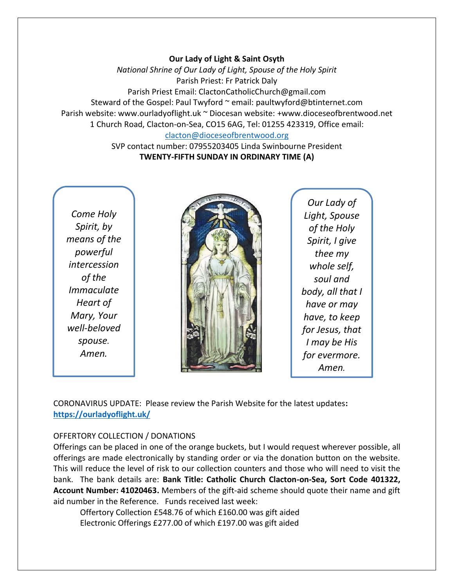#### **Our Lady of Light & Saint Osyth**

*National Shrine of Our Lady of Light, Spouse of the Holy Spirit* Parish Priest: Fr Patrick Daly Parish Priest Email: ClactonCatholicChurch@gmail.com Steward of the Gospel: Paul Twyford ~ email: paultwyford@btinternet.com Parish website: www.ourladyoflight.uk ~ Diocesan website: +www.dioceseofbrentwood.net 1 Church Road, Clacton-on-Sea, CO15 6AG, Tel: 01255 423319, Office email: [clacton@dioceseofbrentwood.org](mailto:clacton@dioceseofbrentwood.org)

> SVP contact number: 07955203405 Linda Swinbourne President **TWENTY-FIFTH SUNDAY IN ORDINARY TIME (A)**

*Come Holy Spirit, by means of the powerful intercession of the Immaculate Heart of Mary, Your well-beloved spouse. Amen.*



*Our Lady of Light, Spouse of the Holy Spirit, I give thee my whole self, soul and body, all that I have or may have, to keep for Jesus, that I may be His for evermore. Amen.*

CORONAVIRUS UPDATE: Please review the Parish Website for the latest updates**: <https://ourladyoflight.uk/>**

#### OFFERTORY COLLECTION / DONATIONS

Offerings can be placed in one of the orange buckets, but I would request wherever possible, all offerings are made electronically by standing order or via the donation button on the website. This will reduce the level of risk to our collection counters and those who will need to visit the bank. The bank details are: **Bank Title: Catholic Church Clacton-on-Sea, Sort Code 401322, Account Number: 41020463.** Members of the gift-aid scheme should quote their name and gift aid number in the Reference. Funds received last week:

Offertory Collection £548.76 of which £160.00 was gift aided Electronic Offerings £277.00 of which £197.00 was gift aided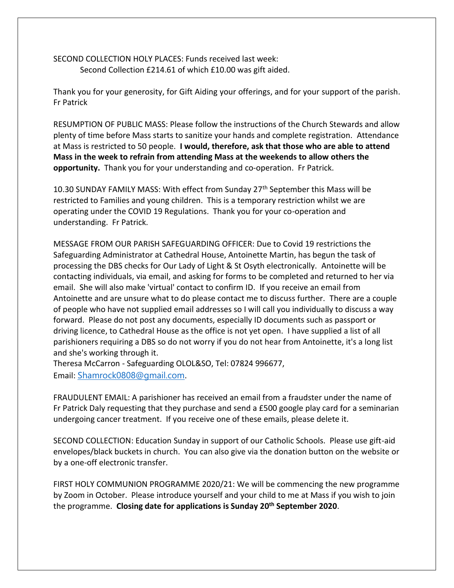SECOND COLLECTION HOLY PLACES: Funds received last week: Second Collection £214.61 of which £10.00 was gift aided.

Thank you for your generosity, for Gift Aiding your offerings, and for your support of the parish. Fr Patrick

RESUMPTION OF PUBLIC MASS: Please follow the instructions of the Church Stewards and allow plenty of time before Mass starts to sanitize your hands and complete registration. Attendance at Mass is restricted to 50 people. **I would, therefore, ask that those who are able to attend Mass in the week to refrain from attending Mass at the weekends to allow others the opportunity.** Thank you for your understanding and co-operation. Fr Patrick.

10.30 SUNDAY FAMILY MASS: With effect from Sunday 27<sup>th</sup> September this Mass will be restricted to Families and young children. This is a temporary restriction whilst we are operating under the COVID 19 Regulations. Thank you for your co-operation and understanding. Fr Patrick.

MESSAGE FROM OUR PARISH SAFEGUARDING OFFICER: Due to Covid 19 restrictions the Safeguarding Administrator at Cathedral House, Antoinette Martin, has begun the task of processing the DBS checks for Our Lady of Light & St Osyth electronically. Antoinette will be contacting individuals, via email, and asking for forms to be completed and returned to her via email. She will also make 'virtual' contact to confirm ID. If you receive an email from Antoinette and are unsure what to do please contact me to discuss further. There are a couple of people who have not supplied email addresses so I will call you individually to discuss a way forward. Please do not post any documents, especially ID documents such as passport or driving licence, to Cathedral House as the office is not yet open. I have supplied a list of all parishioners requiring a DBS so do not worry if you do not hear from Antoinette, it's a long list and she's working through it.

Theresa McCarron - Safeguarding OLOL&SO, Tel: 07824 996677, Email: [Shamrock0808@gmail.com](mailto:Shamrock0808@gmail.com).

FRAUDULENT EMAIL: A parishioner has received an email from a fraudster under the name of Fr Patrick Daly requesting that they purchase and send a £500 google play card for a seminarian undergoing cancer treatment. If you receive one of these emails, please delete it.

SECOND COLLECTION: Education Sunday in support of our Catholic Schools. Please use gift-aid envelopes/black buckets in church. You can also give via the donation button on the website or by a one-off electronic transfer.

FIRST HOLY COMMUNION PROGRAMME 2020/21: We will be commencing the new programme by Zoom in October. Please introduce yourself and your child to me at Mass if you wish to join the programme. **Closing date for applications is Sunday 20th September 2020**.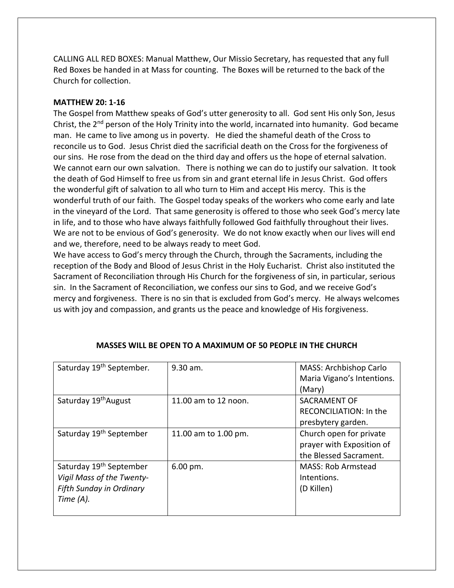CALLING ALL RED BOXES: Manual Matthew, Our Missio Secretary, has requested that any full Red Boxes be handed in at Mass for counting. The Boxes will be returned to the back of the Church for collection.

## **MATTHEW 20: 1-16**

The Gospel from Matthew speaks of God's utter generosity to all. God sent His only Son, Jesus Christ, the 2<sup>nd</sup> person of the Holy Trinity into the world, incarnated into humanity. God became man. He came to live among us in poverty. He died the shameful death of the Cross to reconcile us to God. Jesus Christ died the sacrificial death on the Cross for the forgiveness of our sins. He rose from the dead on the third day and offers us the hope of eternal salvation. We cannot earn our own salvation. There is nothing we can do to justify our salvation. It took the death of God Himself to free us from sin and grant eternal life in Jesus Christ. God offers the wonderful gift of salvation to all who turn to Him and accept His mercy. This is the wonderful truth of our faith. The Gospel today speaks of the workers who come early and late in the vineyard of the Lord. That same generosity is offered to those who seek God's mercy late in life, and to those who have always faithfully followed God faithfully throughout their lives. We are not to be envious of God's generosity. We do not know exactly when our lives will end and we, therefore, need to be always ready to meet God.

We have access to God's mercy through the Church, through the Sacraments, including the reception of the Body and Blood of Jesus Christ in the Holy Eucharist. Christ also instituted the Sacrament of Reconciliation through His Church for the forgiveness of sin, in particular, serious sin. In the Sacrament of Reconciliation, we confess our sins to God, and we receive God's mercy and forgiveness. There is no sin that is excluded from God's mercy. He always welcomes us with joy and compassion, and grants us the peace and knowledge of His forgiveness.

| Saturday 19 <sup>th</sup> September.                                                                      | $9.30$ am.             | MASS: Archbishop Carlo<br>Maria Vigano's Intentions.<br>(Mary)                 |
|-----------------------------------------------------------------------------------------------------------|------------------------|--------------------------------------------------------------------------------|
| Saturday 19 <sup>th</sup> August                                                                          | 11.00 am to 12 noon.   | SACRAMENT OF<br>RECONCILIATION: In the<br>presbytery garden.                   |
| Saturday 19 <sup>th</sup> September                                                                       | 11.00 am to 1.00 pm.   | Church open for private<br>prayer with Exposition of<br>the Blessed Sacrament. |
| Saturday 19 <sup>th</sup> September<br>Vigil Mass of the Twenty-<br>Fifth Sunday in Ordinary<br>Time (A). | $6.00 \,\mathrm{pm}$ . | <b>MASS: Rob Armstead</b><br>Intentions.<br>(D Killen)                         |

## **MASSES WILL BE OPEN TO A MAXIMUM OF 50 PEOPLE IN THE CHURCH**